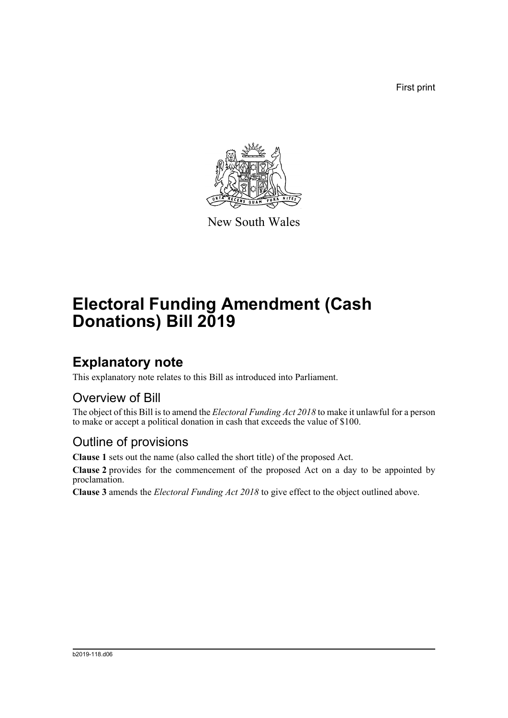First print



New South Wales

# **Electoral Funding Amendment (Cash Donations) Bill 2019**

## **Explanatory note**

This explanatory note relates to this Bill as introduced into Parliament.

#### Overview of Bill

The object of this Bill is to amend the *Electoral Funding Act 2018* to make it unlawful for a person to make or accept a political donation in cash that exceeds the value of \$100.

#### Outline of provisions

**Clause 1** sets out the name (also called the short title) of the proposed Act.

**Clause 2** provides for the commencement of the proposed Act on a day to be appointed by proclamation.

**Clause 3** amends the *Electoral Funding Act 2018* to give effect to the object outlined above.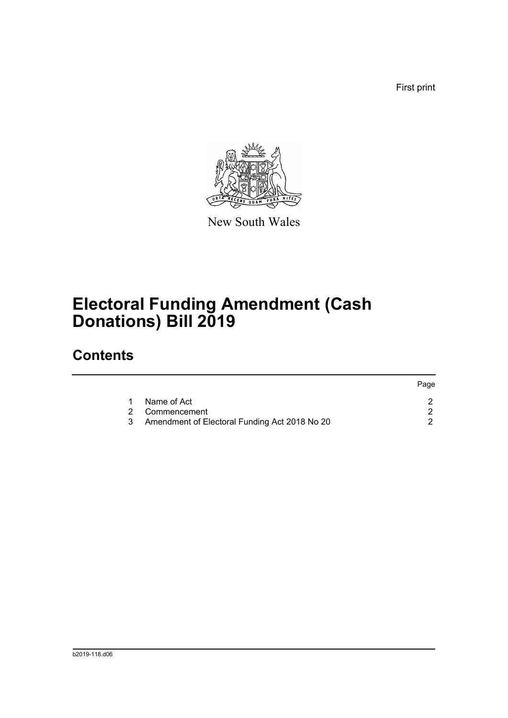First print



New South Wales

# **Electoral Funding Amendment (Cash Donations) Bill 2019**

### **Contents**

|                                               | Page                |
|-----------------------------------------------|---------------------|
| Name of Act                                   |                     |
|                                               |                     |
| Amendment of Electoral Funding Act 2018 No 20 |                     |
|                                               | 1<br>2 Commencement |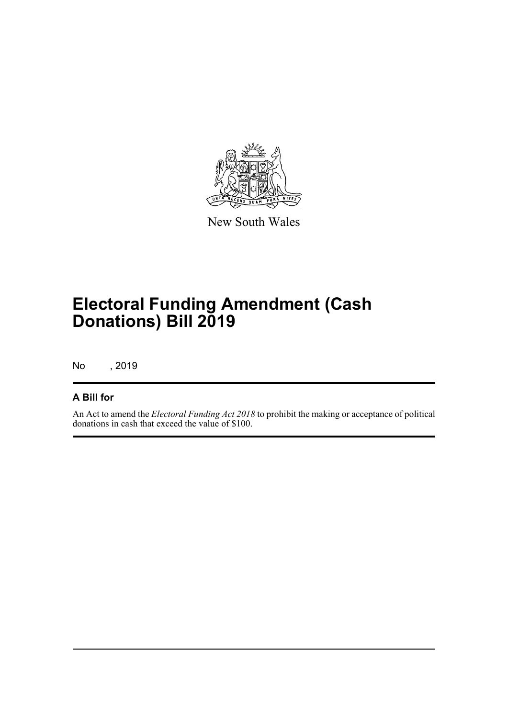

New South Wales

# **Electoral Funding Amendment (Cash Donations) Bill 2019**

No , 2019

#### **A Bill for**

An Act to amend the *Electoral Funding Act 2018* to prohibit the making or acceptance of political donations in cash that exceed the value of \$100.